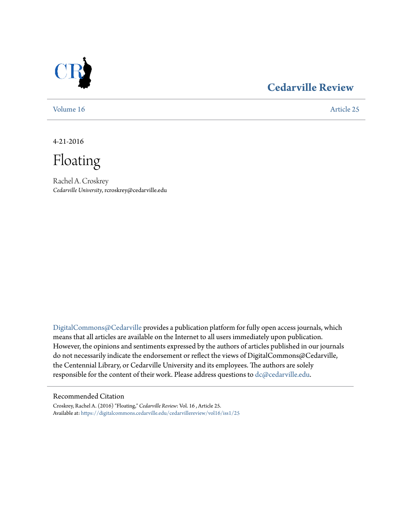

### **[Cedarville Review](https://digitalcommons.cedarville.edu/cedarvillereview?utm_source=digitalcommons.cedarville.edu%2Fcedarvillereview%2Fvol16%2Fiss1%2F25&utm_medium=PDF&utm_campaign=PDFCoverPages)**

[Volume 16](https://digitalcommons.cedarville.edu/cedarvillereview/vol16?utm_source=digitalcommons.cedarville.edu%2Fcedarvillereview%2Fvol16%2Fiss1%2F25&utm_medium=PDF&utm_campaign=PDFCoverPages) [Article 25](https://digitalcommons.cedarville.edu/cedarvillereview/vol16/iss1/25?utm_source=digitalcommons.cedarville.edu%2Fcedarvillereview%2Fvol16%2Fiss1%2F25&utm_medium=PDF&utm_campaign=PDFCoverPages)

4-21-2016

Floating

Rachel A. Croskrey *Cedarville University*, rcroskrey@cedarville.edu

[DigitalCommons@Cedarville](http://digitalcommons.cedarville.edu) provides a publication platform for fully open access journals, which means that all articles are available on the Internet to all users immediately upon publication. However, the opinions and sentiments expressed by the authors of articles published in our journals do not necessarily indicate the endorsement or reflect the views of DigitalCommons@Cedarville, the Centennial Library, or Cedarville University and its employees. The authors are solely responsible for the content of their work. Please address questions to [dc@cedarville.edu](mailto:dc@cedarville.edu).

#### Recommended Citation

Croskrey, Rachel A. (2016) "Floating," *Cedarville Review*: Vol. 16 , Article 25. Available at: [https://digitalcommons.cedarville.edu/cedarvillereview/vol16/iss1/25](https://digitalcommons.cedarville.edu/cedarvillereview/vol16/iss1/25?utm_source=digitalcommons.cedarville.edu%2Fcedarvillereview%2Fvol16%2Fiss1%2F25&utm_medium=PDF&utm_campaign=PDFCoverPages)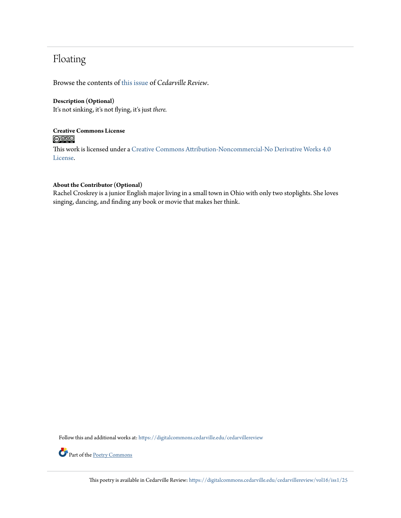## Floating

Browse the contents of [this issue](https://digitalcommons.cedarville.edu/cedarvillereview/vol16/iss1) of *Cedarville Review*.

#### **Description (Optional)**

It's not sinking, it's not flying, it's just *there.*

#### **Creative Commons License**  $\bigcirc$   $\circ$

This work is licensed under a [Creative Commons Attribution-Noncommercial-No Derivative Works 4.0](http://creativecommons.org/licenses/by-nc-nd/4.0/) [License.](http://creativecommons.org/licenses/by-nc-nd/4.0/)

#### **About the Contributor (Optional)**

Rachel Croskrey is a junior English major living in a small town in Ohio with only two stoplights. She loves singing, dancing, and finding any book or movie that makes her think.

Follow this and additional works at: [https://digitalcommons.cedarville.edu/cedarvillereview](https://digitalcommons.cedarville.edu/cedarvillereview?utm_source=digitalcommons.cedarville.edu%2Fcedarvillereview%2Fvol16%2Fiss1%2F25&utm_medium=PDF&utm_campaign=PDFCoverPages)



Part of the [Poetry Commons](http://network.bepress.com/hgg/discipline/1153?utm_source=digitalcommons.cedarville.edu%2Fcedarvillereview%2Fvol16%2Fiss1%2F25&utm_medium=PDF&utm_campaign=PDFCoverPages)

This poetry is available in Cedarville Review: [https://digitalcommons.cedarville.edu/cedarvillereview/vol16/iss1/25](https://digitalcommons.cedarville.edu/cedarvillereview/vol16/iss1/25?utm_source=digitalcommons.cedarville.edu%2Fcedarvillereview%2Fvol16%2Fiss1%2F25&utm_medium=PDF&utm_campaign=PDFCoverPages)